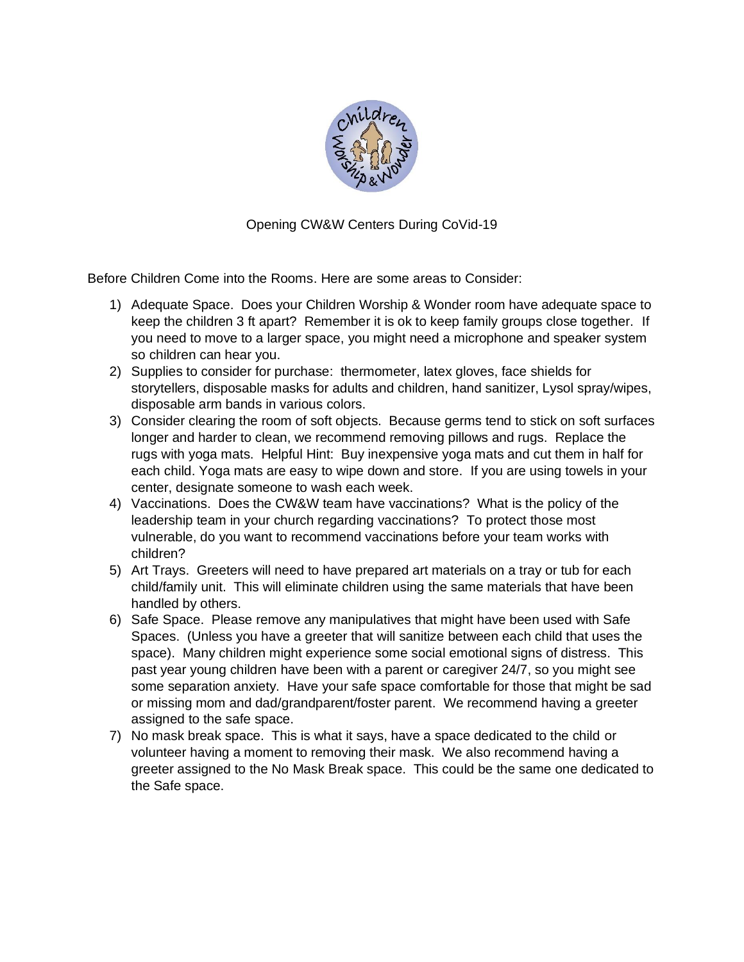

Opening CW&W Centers During CoVid-19

Before Children Come into the Rooms. Here are some areas to Consider:

- 1) Adequate Space. Does your Children Worship & Wonder room have adequate space to keep the children 3 ft apart? Remember it is ok to keep family groups close together. If you need to move to a larger space, you might need a microphone and speaker system so children can hear you.
- 2) Supplies to consider for purchase: thermometer, latex gloves, face shields for storytellers, disposable masks for adults and children, hand sanitizer, Lysol spray/wipes, disposable arm bands in various colors.
- 3) Consider clearing the room of soft objects. Because germs tend to stick on soft surfaces longer and harder to clean, we recommend removing pillows and rugs. Replace the rugs with yoga mats. Helpful Hint: Buy inexpensive yoga mats and cut them in half for each child. Yoga mats are easy to wipe down and store. If you are using towels in your center, designate someone to wash each week.
- 4) Vaccinations. Does the CW&W team have vaccinations? What is the policy of the leadership team in your church regarding vaccinations? To protect those most vulnerable, do you want to recommend vaccinations before your team works with children?
- 5) Art Trays. Greeters will need to have prepared art materials on a tray or tub for each child/family unit. This will eliminate children using the same materials that have been handled by others.
- 6) Safe Space. Please remove any manipulatives that might have been used with Safe Spaces. (Unless you have a greeter that will sanitize between each child that uses the space). Many children might experience some social emotional signs of distress. This past year young children have been with a parent or caregiver 24/7, so you might see some separation anxiety. Have your safe space comfortable for those that might be sad or missing mom and dad/grandparent/foster parent. We recommend having a greeter assigned to the safe space.
- 7) No mask break space. This is what it says, have a space dedicated to the child or volunteer having a moment to removing their mask. We also recommend having a greeter assigned to the No Mask Break space. This could be the same one dedicated to the Safe space.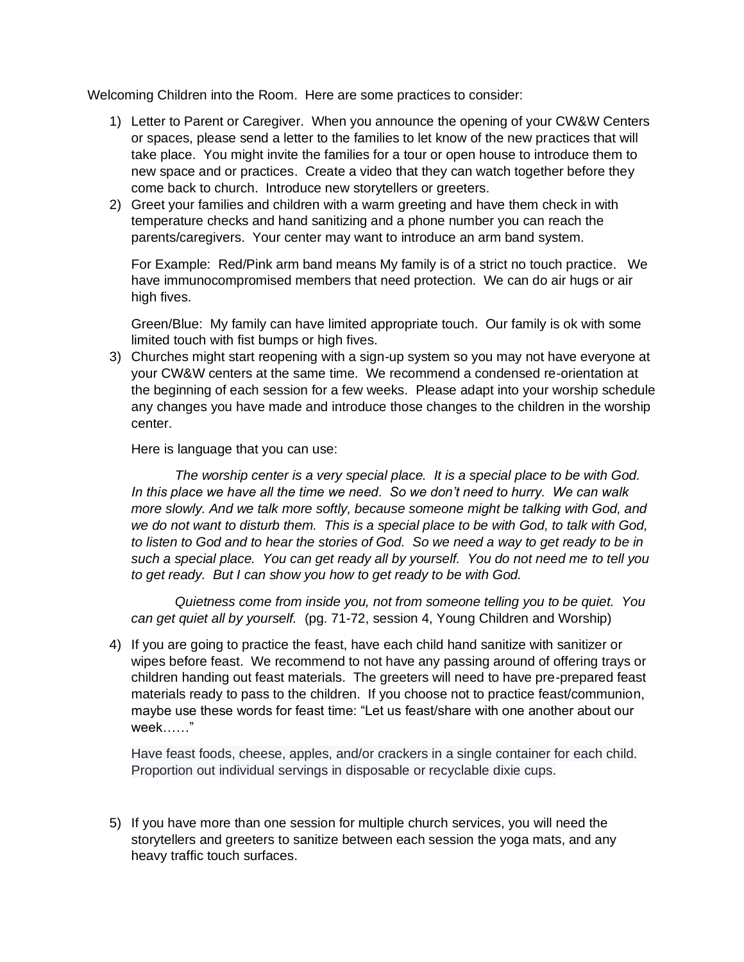Welcoming Children into the Room. Here are some practices to consider:

- 1) Letter to Parent or Caregiver. When you announce the opening of your CW&W Centers or spaces, please send a letter to the families to let know of the new practices that will take place. You might invite the families for a tour or open house to introduce them to new space and or practices. Create a video that they can watch together before they come back to church. Introduce new storytellers or greeters.
- 2) Greet your families and children with a warm greeting and have them check in with temperature checks and hand sanitizing and a phone number you can reach the parents/caregivers. Your center may want to introduce an arm band system.

For Example: Red/Pink arm band means My family is of a strict no touch practice. We have immunocompromised members that need protection. We can do air hugs or air high fives.

Green/Blue: My family can have limited appropriate touch. Our family is ok with some limited touch with fist bumps or high fives.

3) Churches might start reopening with a sign-up system so you may not have everyone at your CW&W centers at the same time. We recommend a condensed re-orientation at the beginning of each session for a few weeks. Please adapt into your worship schedule any changes you have made and introduce those changes to the children in the worship center.

Here is language that you can use:

*The worship center is a very special place. It is a special place to be with God. In this place we have all the time we need. So we don't need to hurry. We can walk more slowly. And we talk more softly, because someone might be talking with God, and we do not want to disturb them. This is a special place to be with God, to talk with God, to listen to God and to hear the stories of God. So we need a way to get ready to be in such a special place. You can get ready all by yourself. You do not need me to tell you to get ready. But I can show you how to get ready to be with God.* 

*Quietness come from inside you, not from someone telling you to be quiet. You can get quiet all by yourself.* (pg. 71-72, session 4, Young Children and Worship)

4) If you are going to practice the feast, have each child hand sanitize with sanitizer or wipes before feast. We recommend to not have any passing around of offering trays or children handing out feast materials. The greeters will need to have pre-prepared feast materials ready to pass to the children. If you choose not to practice feast/communion, maybe use these words for feast time: "Let us feast/share with one another about our week……"

Have feast foods, cheese, apples, and/or crackers in a single container for each child. Proportion out individual servings in disposable or recyclable dixie cups.

5) If you have more than one session for multiple church services, you will need the storytellers and greeters to sanitize between each session the yoga mats, and any heavy traffic touch surfaces.